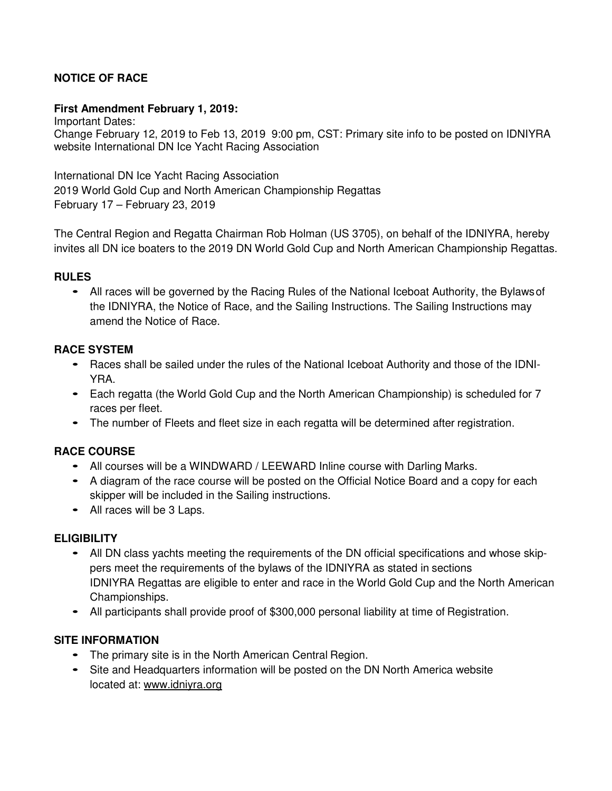# **NOTICE OF RACE**

### **First Amendment February 1, 2019:**

Important Dates: Change February 12, 2019 to Feb 13, 2019 9:00 pm, CST: Primary site info to be posted on IDNIYRA website International DN Ice Yacht Racing Association

International DN Ice Yacht Racing Association 2019 World Gold Cup and North American Championship Regattas February 17 – February 23, 2019

The Central Region and Regatta Chairman Rob Holman (US 3705), on behalf of the IDNIYRA, hereby invites all DN ice boaters to the 2019 DN World Gold Cup and North American Championship Regattas.

### **RULES**

• All races will be governed by the Racing Rules of the National Iceboat Authority, the Bylaws of the IDNIYRA, the Notice of Race, and the Sailing Instructions. The Sailing Instructions may amend the Notice of Race.

### **RACE SYSTEM**

- Races shall be sailed under the rules of the National Iceboat Authority and those of the IDNI-YRA.
- Each regatta (the World Gold Cup and the North American Championship) is scheduled for 7 races per fleet.
- The number of Fleets and fleet size in each regatta will be determined after registration.

### **RACE COURSE**

- All courses will be a WINDWARD / LEEWARD Inline course with Darling Marks.
- A diagram of the race course will be posted on the Official Notice Board and a copy for each skipper will be included in the Sailing instructions.
- All races will be 3 Laps.

### **ELIGIBILITY**

- All DN class yachts meeting the requirements of the DN official specifications and whose skippers meet the requirements of the bylaws of the IDNIYRA as stated in sections IDNIYRA Regattas are eligible to enter and race in the World Gold Cup and the North American Championships.
- All participants shall provide proof of \$300,000 personal liability at time of Registration.

### **SITE INFORMATION**

- The primary site is in the North American Central Region.
- Site and Headquarters information will be posted on the DN North America website located at: www.idniyra.org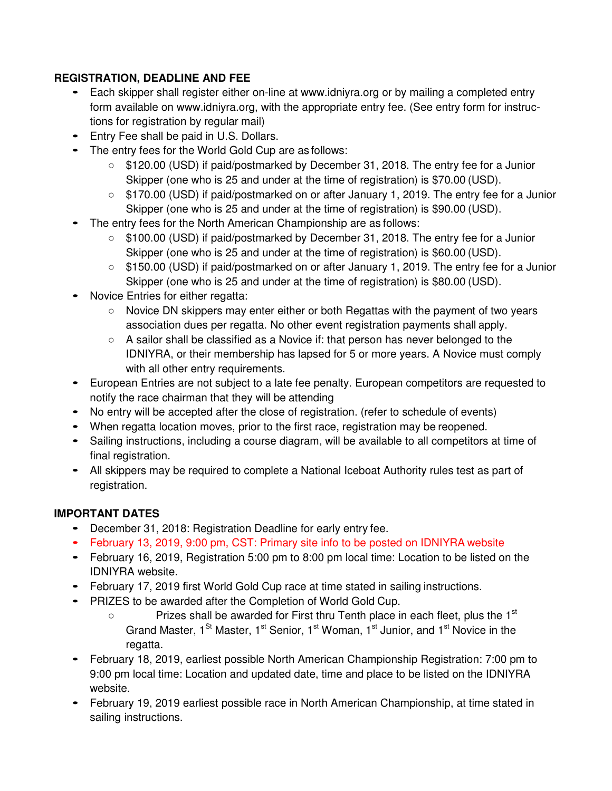## **REGISTRATION, DEADLINE AND FEE**

- Each skipper shall register either on-line at www.idniyra.org or by mailing a completed entry form available on www.idniyra.org, with the appropriate entry fee. (See entry form for instructions for registration by regular mail)
- Entry Fee shall be paid in U.S. Dollars.
- The entry fees for the World Gold Cup are as follows:
	- \$120.00 (USD) if paid/postmarked by December 31, 2018. The entry fee for a Junior Skipper (one who is 25 and under at the time of registration) is \$70.00 (USD).
	- \$170.00 (USD) if paid/postmarked on or after January 1, 2019. The entry fee for a Junior Skipper (one who is 25 and under at the time of registration) is \$90.00 (USD).
- The entry fees for the North American Championship are as follows:
	- \$100.00 (USD) if paid/postmarked by December 31, 2018. The entry fee for a Junior Skipper (one who is 25 and under at the time of registration) is \$60.00 (USD).
	- \$150.00 (USD) if paid/postmarked on or after January 1, 2019. The entry fee for a Junior Skipper (one who is 25 and under at the time of registration) is \$80.00 (USD).
- Novice Entries for either regatta:
	- Novice DN skippers may enter either or both Regattas with the payment of two years association dues per regatta. No other event registration payments shall apply.
	- $\circ$  A sailor shall be classified as a Novice if: that person has never belonged to the IDNIYRA, or their membership has lapsed for 5 or more years. A Novice must comply with all other entry requirements.
- European Entries are not subject to a late fee penalty. European competitors are requested to notify the race chairman that they will be attending
- No entry will be accepted after the close of registration. (refer to schedule of events)
- When regatta location moves, prior to the first race, registration may be reopened.
- Sailing instructions, including a course diagram, will be available to all competitors at time of final registration.
- All skippers may be required to complete a National Iceboat Authority rules test as part of registration.

# **IMPORTANT DATES**

- December 31, 2018: Registration Deadline for early entry fee.
- February 13, 2019, 9:00 pm, CST: Primary site info to be posted on IDNIYRA website
- February 16, 2019, Registration 5:00 pm to 8:00 pm local time: Location to be listed on the IDNIYRA website.
- February 17, 2019 first World Gold Cup race at time stated in sailing instructions.
- PRIZES to be awarded after the Completion of World Gold Cup.
	- Prizes shall be awarded for First thru Tenth place in each fleet, plus the 1<sup>st</sup> Grand Master,  $1^{St}$  Master,  $1^{st}$  Senior,  $1^{st}$  Woman,  $1^{st}$  Junior, and  $1^{st}$  Novice in the regatta.
- February 18, 2019, earliest possible North American Championship Registration: 7:00 pm to 9:00 pm local time: Location and updated date, time and place to be listed on the IDNIYRA website.
- February 19, 2019 earliest possible race in North American Championship, at time stated in sailing instructions.